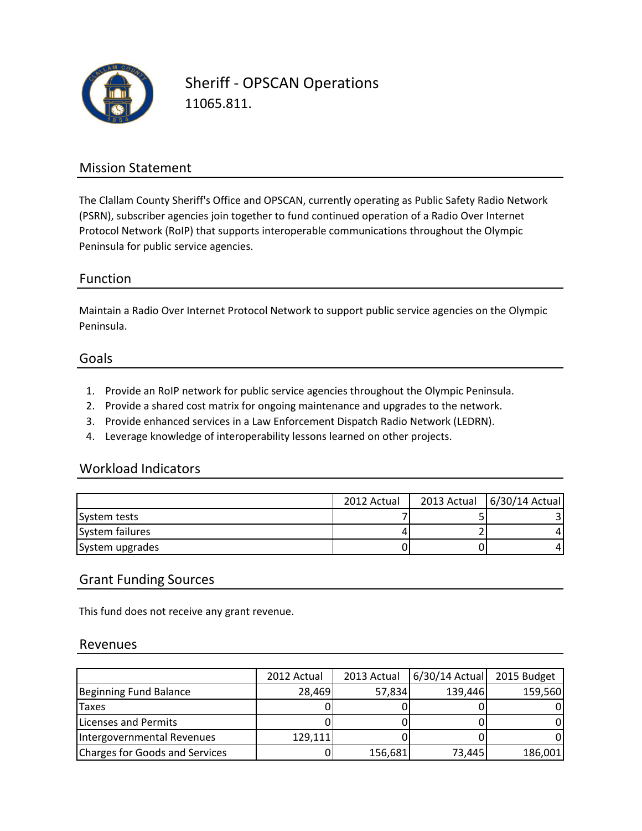

Sheriff - OPSCAN Operations 11065.811.

# Mission Statement

The Clallam County Sheriff's Office and OPSCAN, currently operating as Public Safety Radio Network (PSRN), subscriber agencies join together to fund continued operation of a Radio Over Internet Protocol Network (RoIP) that supports interoperable communications throughout the Olympic Peninsula for public service agencies.

### Function

Maintain a Radio Over Internet Protocol Network to support public service agencies on the Olympic Peninsula.

#### Goals

- 1. Provide an RoIP network for public service agencies throughout the Olympic Peninsula.
- 2. Provide a shared cost matrix for ongoing maintenance and upgrades to the network.
- 3. Provide enhanced services in a Law Enforcement Dispatch Radio Network (LEDRN).
- 4. Leverage knowledge of interoperability lessons learned on other projects.

## Workload Indicators

|                 | 2012 Actual | 2013 Actual   6/30/14 Actual |
|-----------------|-------------|------------------------------|
| System tests    |             |                              |
| System failures |             |                              |
| System upgrades |             |                              |

### Grant Funding Sources

This fund does not receive any grant revenue.

#### Revenues

|                                | 2012 Actual | 2013 Actual | 6/30/14 Actual | 2015 Budget |
|--------------------------------|-------------|-------------|----------------|-------------|
| Beginning Fund Balance         | 28,469      | 57,834      | 139,446        | 159,560     |
| <b>Taxes</b>                   |             |             |                |             |
| Licenses and Permits           |             |             |                |             |
| Intergovernmental Revenues     | 129,111     |             |                |             |
| Charges for Goods and Services |             | 156,681     | 73,445         | 186,001     |